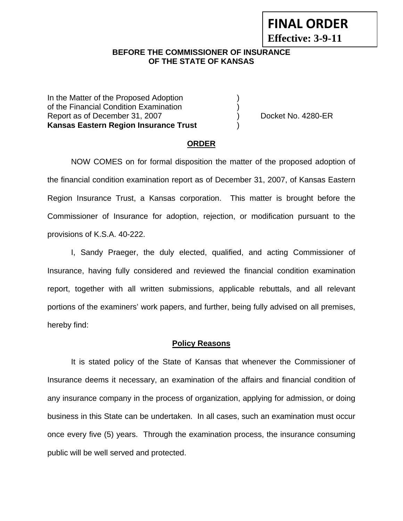# **FINAL ORDER**

**Effective: 3-9-11** 

# **BEFORE THE COMMISSIONER OF INSURANCE OF THE STATE OF KANSAS**

In the Matter of the Proposed Adoption of the Financial Condition Examination ) Report as of December 31, 2007 (and the control of Docket No. 4280-ER **Kansas Eastern Region Insurance Trust** )

# **ORDER**

 NOW COMES on for formal disposition the matter of the proposed adoption of the financial condition examination report as of December 31, 2007, of Kansas Eastern Region Insurance Trust, a Kansas corporation. This matter is brought before the Commissioner of Insurance for adoption, rejection, or modification pursuant to the provisions of K.S.A. 40-222.

 I, Sandy Praeger, the duly elected, qualified, and acting Commissioner of Insurance, having fully considered and reviewed the financial condition examination report, together with all written submissions, applicable rebuttals, and all relevant portions of the examiners' work papers, and further, being fully advised on all premises, hereby find:

# **Policy Reasons**

 It is stated policy of the State of Kansas that whenever the Commissioner of Insurance deems it necessary, an examination of the affairs and financial condition of any insurance company in the process of organization, applying for admission, or doing business in this State can be undertaken. In all cases, such an examination must occur once every five (5) years. Through the examination process, the insurance consuming public will be well served and protected.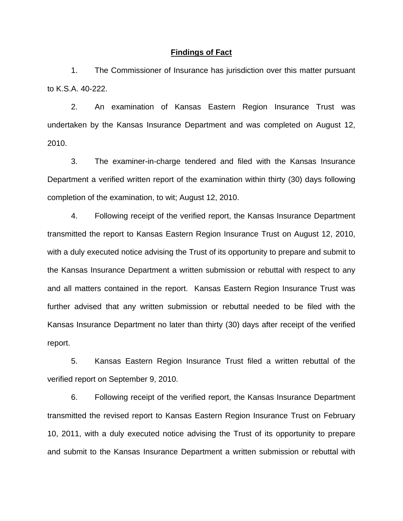#### **Findings of Fact**

 1. The Commissioner of Insurance has jurisdiction over this matter pursuant to K.S.A. 40-222.

 2. An examination of Kansas Eastern Region Insurance Trust was undertaken by the Kansas Insurance Department and was completed on August 12, 2010.

 3. The examiner-in-charge tendered and filed with the Kansas Insurance Department a verified written report of the examination within thirty (30) days following completion of the examination, to wit; August 12, 2010.

 4. Following receipt of the verified report, the Kansas Insurance Department transmitted the report to Kansas Eastern Region Insurance Trust on August 12, 2010, with a duly executed notice advising the Trust of its opportunity to prepare and submit to the Kansas Insurance Department a written submission or rebuttal with respect to any and all matters contained in the report. Kansas Eastern Region Insurance Trust was further advised that any written submission or rebuttal needed to be filed with the Kansas Insurance Department no later than thirty (30) days after receipt of the verified report.

 5. Kansas Eastern Region Insurance Trust filed a written rebuttal of the verified report on September 9, 2010.

 6. Following receipt of the verified report, the Kansas Insurance Department transmitted the revised report to Kansas Eastern Region Insurance Trust on February 10, 2011, with a duly executed notice advising the Trust of its opportunity to prepare and submit to the Kansas Insurance Department a written submission or rebuttal with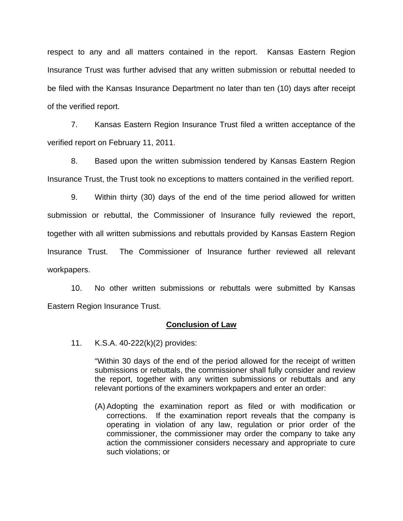respect to any and all matters contained in the report. Kansas Eastern Region Insurance Trust was further advised that any written submission or rebuttal needed to be filed with the Kansas Insurance Department no later than ten (10) days after receipt of the verified report.

 7. Kansas Eastern Region Insurance Trust filed a written acceptance of the verified report on February 11, 2011.

8. Based upon the written submission tendered by Kansas Eastern Region Insurance Trust, the Trust took no exceptions to matters contained in the verified report.

 9. Within thirty (30) days of the end of the time period allowed for written submission or rebuttal, the Commissioner of Insurance fully reviewed the report, together with all written submissions and rebuttals provided by Kansas Eastern Region Insurance Trust. The Commissioner of Insurance further reviewed all relevant workpapers.

 10. No other written submissions or rebuttals were submitted by Kansas Eastern Region Insurance Trust.

### **Conclusion of Law**

11. K.S.A. 40-222(k)(2) provides:

"Within 30 days of the end of the period allowed for the receipt of written submissions or rebuttals, the commissioner shall fully consider and review the report, together with any written submissions or rebuttals and any relevant portions of the examiners workpapers and enter an order:

(A) Adopting the examination report as filed or with modification or corrections. If the examination report reveals that the company is operating in violation of any law, regulation or prior order of the commissioner, the commissioner may order the company to take any action the commissioner considers necessary and appropriate to cure such violations; or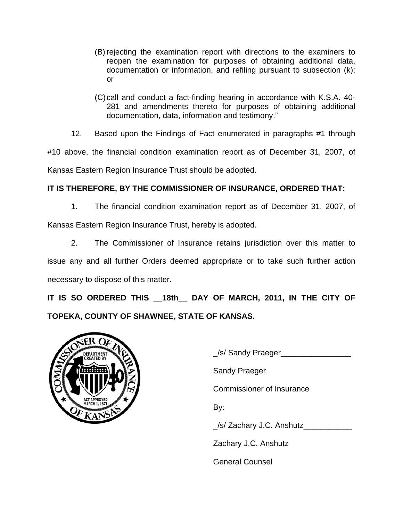- (B) rejecting the examination report with directions to the examiners to reopen the examination for purposes of obtaining additional data, documentation or information, and refiling pursuant to subsection (k); or
- (C) call and conduct a fact-finding hearing in accordance with K.S.A. 40- 281 and amendments thereto for purposes of obtaining additional documentation, data, information and testimony."
- 12. Based upon the Findings of Fact enumerated in paragraphs #1 through

#10 above, the financial condition examination report as of December 31, 2007, of

Kansas Eastern Region Insurance Trust should be adopted.

# **IT IS THEREFORE, BY THE COMMISSIONER OF INSURANCE, ORDERED THAT:**

 1. The financial condition examination report as of December 31, 2007, of Kansas Eastern Region Insurance Trust, hereby is adopted.

 2. The Commissioner of Insurance retains jurisdiction over this matter to issue any and all further Orders deemed appropriate or to take such further action necessary to dispose of this matter.

IT IS SO ORDERED THIS 18th DAY OF MARCH, 2011, IN THE CITY OF **TOPEKA, COUNTY OF SHAWNEE, STATE OF KANSAS.** 



 \_/s/ Sandy Praeger\_\_\_\_\_\_\_\_\_\_\_\_\_\_\_\_ Sandy Praeger Commissioner of Insurance \_/s/ Zachary J.C. Anshutz\_\_\_\_\_\_\_\_\_\_\_ Zachary J.C. Anshutz General Counsel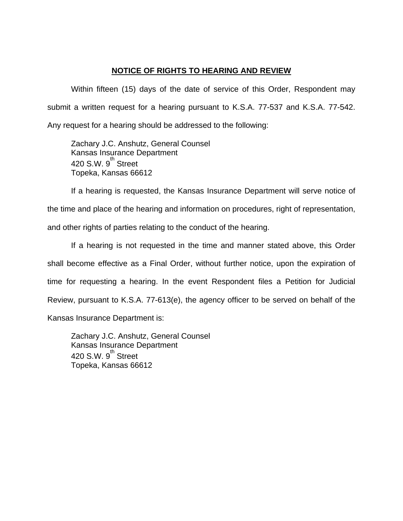# **NOTICE OF RIGHTS TO HEARING AND REVIEW**

Within fifteen (15) days of the date of service of this Order, Respondent may submit a written request for a hearing pursuant to K.S.A. 77-537 and K.S.A. 77-542. Any request for a hearing should be addressed to the following:

 Zachary J.C. Anshutz, General Counsel Kansas Insurance Department 420 S.W.  $9^{\text{th}}$  Street Topeka, Kansas 66612

If a hearing is requested, the Kansas Insurance Department will serve notice of the time and place of the hearing and information on procedures, right of representation, and other rights of parties relating to the conduct of the hearing.

If a hearing is not requested in the time and manner stated above, this Order shall become effective as a Final Order, without further notice, upon the expiration of time for requesting a hearing. In the event Respondent files a Petition for Judicial Review, pursuant to K.S.A. 77-613(e), the agency officer to be served on behalf of the Kansas Insurance Department is:

 Zachary J.C. Anshutz, General Counsel Kansas Insurance Department 420 S.W. 9<sup>th</sup> Street Topeka, Kansas 66612